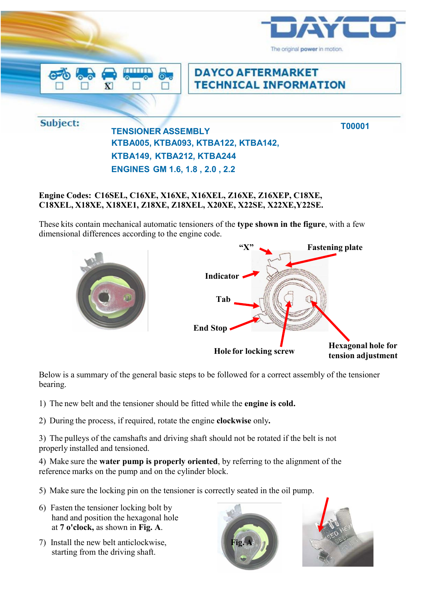

## **Engine Codes: C16SEL, C16XE, X16XE, X16XEL, Z16XE, Z16XEP, C18XE, C18XEL, X18XE, X18XE1, Z18XE, Z18XEL, X20XE, X22SE, X22XE,Y22SE.**

These kits contain mechanical automatic tensioners of the **type shown in the figure**, with a few dimensional differences according to the engine code.



Below is a summary of the general basic steps to be followed for a correct assembly of the tensioner bearing.

- 1) The new belt and the tensioner should be fitted while the **engine is cold.**
- 2) During the process, if required, rotate the engine **clockwise** only**.**

3) The pulleys of the camshafts and driving shaft should not be rotated if the belt is not properly installed and tensioned.

4) Make sure the **water pump is properly oriented**, by referring to the alignment of the reference marks on the pump and on the cylinder block.

- 5) Make sure the locking pin on the tensioner is correctly seated in the oil pump.
- 6) Fasten the tensioner locking bolt by hand and position the hexagonal hole at **7 o'clock,** as shown in **Fig. A**.
- 7) Install the new belt anticlockwise, starting from the driving shaft.